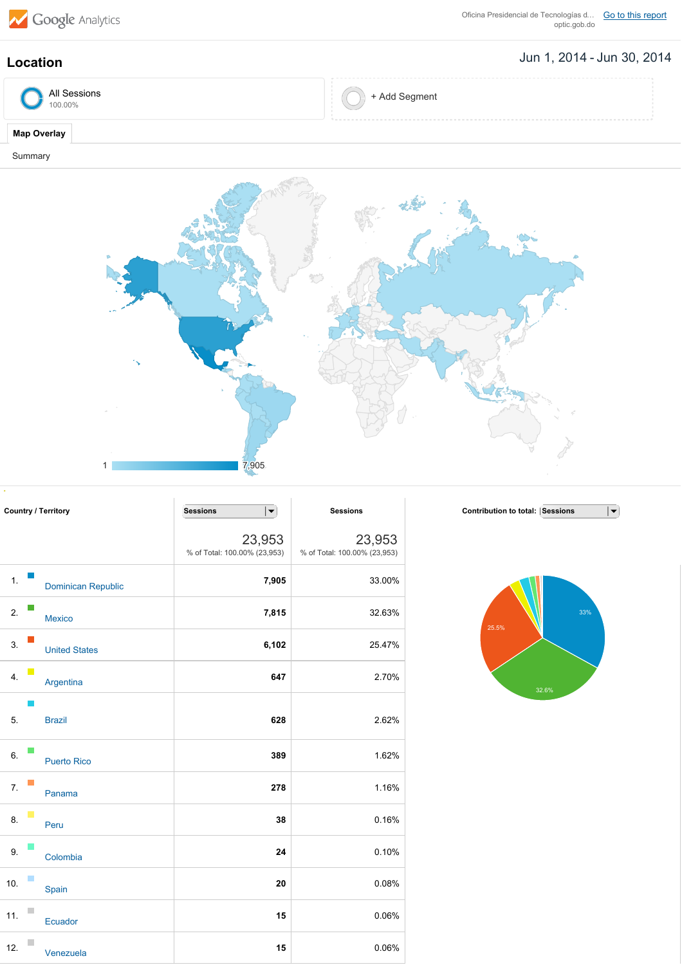

Oficina Presidencial de Tecnologías d... Go to this [report](https://www.google.com/analytics/web/?hl=en&utm_source=pdfReportLink#report/visitors-geo/a38437375w75582751p78098861/%3F_u.date00%3D20140601%26_u.date01%3D20140630%26geo-table-tableMode.selected%3Dpie%26geo-table.plotKeys%3D%5B%5D%26geo-table.rowCount%3D5000%26geo-segmentExplorer.segmentId%3Danalytics.country/)<br>optic.gob.do

## Jun 1, 2014 Jun 30, 2014 **Location**

| All Sessions<br>100.00% | -<br>Add Segment |  |
|-------------------------|------------------|--|
|                         |                  |  |

## **Map Overlay**

Summary



| <b>Country / Territory</b> |  |                      | <b>Sessions</b><br>$\vert \blacktriangledown$ | <b>Sessions</b>                        |
|----------------------------|--|----------------------|-----------------------------------------------|----------------------------------------|
|                            |  |                      | 23,953<br>% of Total: 100.00% (23,953)        | 23,953<br>% of Total: 100.00% (23,953) |
| $\mathbf 1$ .              |  | Dominican Republic   | 7,905                                         | 33.00%                                 |
| 2.                         |  | <b>Mexico</b>        | 7,815                                         | 32.63%                                 |
| 3.                         |  | <b>United States</b> | 6,102                                         | 25.47%                                 |
| 4.                         |  | Argentina            | 647                                           | 2.70%                                  |
| 5.                         |  | <b>Brazil</b>        | 628                                           | 2.62%                                  |
| 6.                         |  | <b>Puerto Rico</b>   | 389                                           | 1.62%                                  |
| 7.                         |  | Panama               | 278                                           | 1.16%                                  |
| 8.                         |  | Peru                 | 38                                            | 0.16%                                  |
| 9.                         |  | Colombia             | 24                                            | 0.10%                                  |
| 10.                        |  | Spain                | 20                                            | 0.08%                                  |
| 11.                        |  | Ecuador              | 15                                            | 0.06%                                  |
| 12.                        |  | Venezuela            | 15                                            | 0.06%                                  |

 $\overline{|\bullet|}$ **Contribution to total:** Sessions